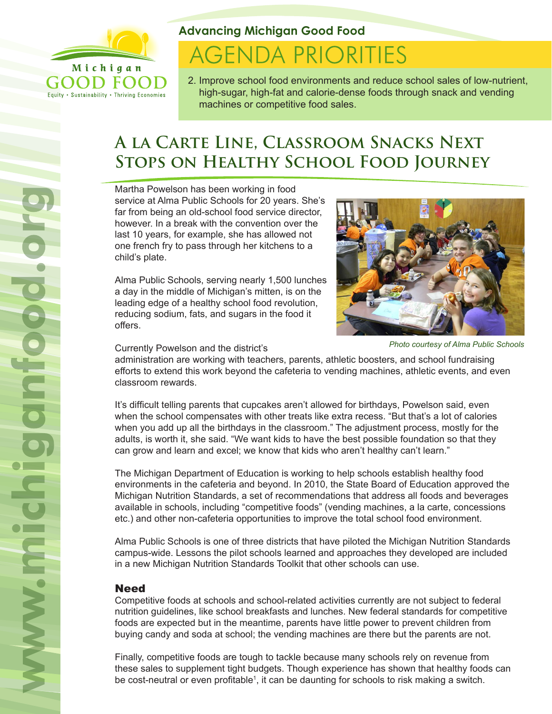

Equity . Sustainability . Thriving Economies

**Advancing Michigan Good Food**

# **AGENDA PRIORITIES**

2. Improve school food environments and reduce school sales of low-nutrient, high-sugar, high-fat and calorie-dense foods through snack and vending machines or competitive food sales.

# **A la Carte Line, Classroom Snacks Next Stops on Healthy School Food Journey**

Martha Powelson has been working in food service at Alma Public Schools for 20 years. She's far from being an old-school food service director, however. In a break with the convention over the last 10 years, for example, she has allowed not one french fry to pass through her kitchens to a child's plate.

Alma Public Schools, serving nearly 1,500 lunches a day in the middle of Michigan's mitten, is on the leading edge of a healthy school food revolution, reducing sodium, fats, and sugars in the food it offers.



Currently Powelson and the district's

*Photo courtesy of Alma Public Schools*

administration are working with teachers, parents, athletic boosters, and school fundraising efforts to extend this work beyond the cafeteria to vending machines, athletic events, and even classroom rewards.

It's difficult telling parents that cupcakes aren't allowed for birthdays, Powelson said, even when the school compensates with other treats like extra recess. "But that's a lot of calories when you add up all the birthdays in the classroom." The adjustment process, mostly for the adults, is worth it, she said. "We want kids to have the best possible foundation so that they can grow and learn and excel; we know that kids who aren't healthy can't learn."

The Michigan Department of Education is working to help schools establish healthy food environments in the cafeteria and beyond. In 2010, the State Board of Education approved the Michigan Nutrition Standards, a set of recommendations that address all foods and beverages available in schools, including "competitive foods" (vending machines, a la carte, concessions etc.) and other non-cafeteria opportunities to improve the total school food environment.

Alma Public Schools is one of three districts that have piloted the Michigan Nutrition Standards campus-wide. Lessons the pilot schools learned and approaches they developed are included in a new Michigan Nutrition Standards Toolkit that other schools can use.

## Need

Competitive foods at schools and school-related activities currently are not subject to federal nutrition guidelines, like school breakfasts and lunches. New federal standards for competitive foods are expected but in the meantime, parents have little power to prevent children from buying candy and soda at school; the vending machines are there but the parents are not.

Finally, competitive foods are tough to tackle because many schools rely on revenue from these sales to supplement tight budgets. Though experience has shown that healthy foods can be cost-neutral or even profitable<sup>1</sup>, it can be daunting for schools to risk making a switch.